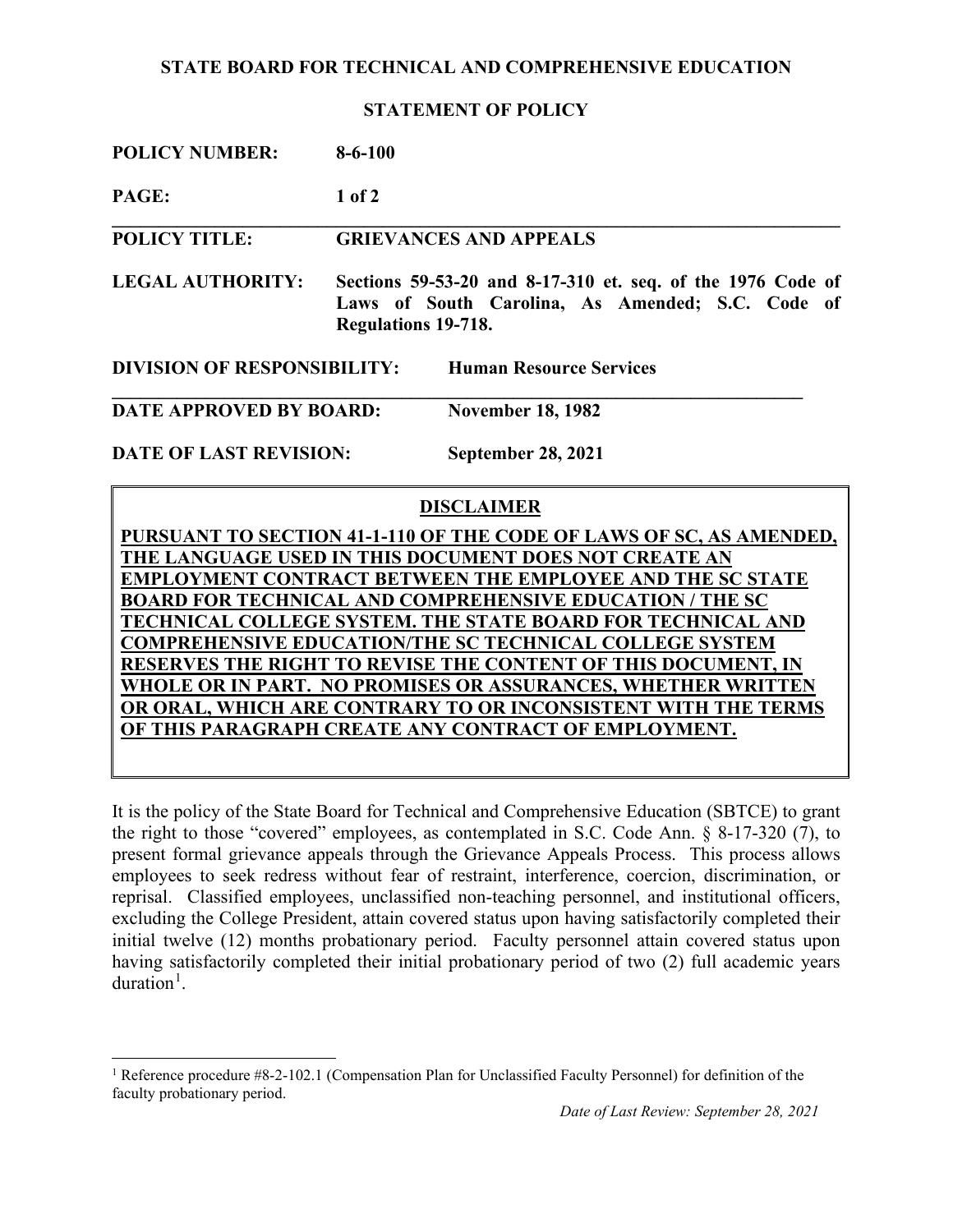## **STATE BOARD FOR TECHNICAL AND COMPREHENSIVE EDUCATION**

**STATEMENT OF POLICY**

| <b>POLICY NUMBER:</b> | $8 - 6 - 100$ |
|-----------------------|---------------|
|                       |               |

**PAGE: 1 of 2**

**POLICY TITLE: GRIEVANCES AND APPEALS**

**LEGAL AUTHORITY: Sections 59-53-20 and 8-17-310 et. seq. of the 1976 Code of Laws of South Carolina, As Amended; S.C. Code of Regulations 19-718.**

**\_\_\_\_\_\_\_\_\_\_\_\_\_\_\_\_\_\_\_\_\_\_\_\_\_\_\_\_\_\_\_\_\_\_\_\_\_\_\_\_\_\_\_\_\_\_\_\_\_\_\_\_\_\_\_\_\_\_\_\_\_\_\_\_\_\_\_\_\_\_\_\_\_\_\_\_\_\_**

**DIVISION OF RESPONSIBILITY: Human Resource Services**

**\_\_\_\_\_\_\_\_\_\_\_\_\_\_\_\_\_\_\_\_\_\_\_\_\_\_\_\_\_\_\_\_\_\_\_\_\_\_\_\_\_\_\_\_\_\_\_\_\_\_\_\_\_\_\_\_\_\_\_\_\_\_\_\_\_\_\_\_\_\_\_\_\_\_ DATE APPROVED BY BOARD: November 18, 1982**

**DATE OF LAST REVISION: September 28, 2021**

## **DISCLAIMER**

**PURSUANT TO SECTION 41-1-110 OF THE CODE OF LAWS OF SC, AS AMENDED, THE LANGUAGE USED IN THIS DOCUMENT DOES NOT CREATE AN EMPLOYMENT CONTRACT BETWEEN THE EMPLOYEE AND THE SC STATE BOARD FOR TECHNICAL AND COMPREHENSIVE EDUCATION / THE SC TECHNICAL COLLEGE SYSTEM. THE STATE BOARD FOR TECHNICAL AND COMPREHENSIVE EDUCATION/THE SC TECHNICAL COLLEGE SYSTEM RESERVES THE RIGHT TO REVISE THE CONTENT OF THIS DOCUMENT, IN WHOLE OR IN PART. NO PROMISES OR ASSURANCES, WHETHER WRITTEN OR ORAL, WHICH ARE CONTRARY TO OR INCONSISTENT WITH THE TERMS OF THIS PARAGRAPH CREATE ANY CONTRACT OF EMPLOYMENT.**

It is the policy of the State Board for Technical and Comprehensive Education (SBTCE) to grant the right to those "covered" employees, as contemplated in S.C. Code Ann. § 8-17-320 (7), to present formal grievance appeals through the Grievance Appeals Process. This process allows employees to seek redress without fear of restraint, interference, coercion, discrimination, or reprisal. Classified employees, unclassified non-teaching personnel, and institutional officers, excluding the College President, attain covered status upon having satisfactorily completed their initial twelve (12) months probationary period. Faculty personnel attain covered status upon having satisfactorily completed their initial probationary period of two (2) full academic years duration<sup>[1](#page-0-0)</sup>.

<span id="page-0-0"></span><sup>&</sup>lt;sup>1</sup> Reference procedure  $#8-2-102.1$  (Compensation Plan for Unclassified Faculty Personnel) for definition of the faculty probationary period.